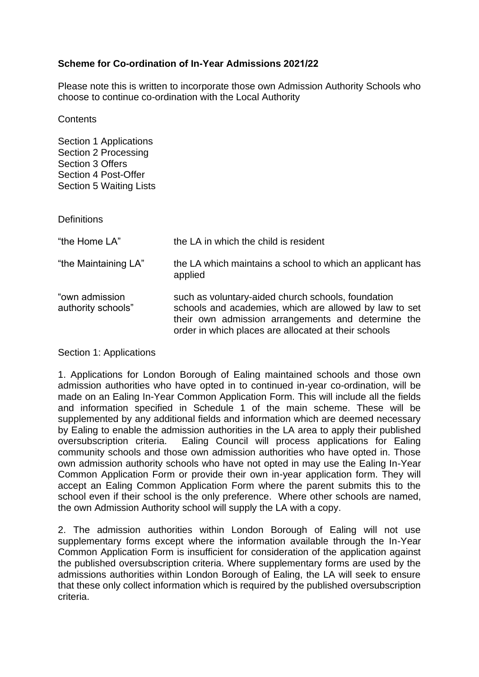## **Scheme for Co-ordination of In-Year Admissions 2021/22**

Please note this is written to incorporate those own Admission Authority Schools who choose to continue co-ordination with the Local Authority

**Contents** 

Section 1 Applications Section 2 Processing Section 3 Offers Section 4 Post-Offer Section 5 Waiting Lists

**Definitions** 

| "the Home LA"                        | the LA in which the child is resident                                                                                                                                                                                      |
|--------------------------------------|----------------------------------------------------------------------------------------------------------------------------------------------------------------------------------------------------------------------------|
| "the Maintaining LA"                 | the LA which maintains a school to which an applicant has<br>applied                                                                                                                                                       |
| "own admission<br>authority schools" | such as voluntary-aided church schools, foundation<br>schools and academies, which are allowed by law to set<br>their own admission arrangements and determine the<br>order in which places are allocated at their schools |

Section 1: Applications

1. Applications for London Borough of Ealing maintained schools and those own admission authorities who have opted in to continued in-year co-ordination, will be made on an Ealing In-Year Common Application Form. This will include all the fields and information specified in Schedule 1 of the main scheme. These will be supplemented by any additional fields and information which are deemed necessary by Ealing to enable the admission authorities in the LA area to apply their published oversubscription criteria. Ealing Council will process applications for Ealing community schools and those own admission authorities who have opted in. Those own admission authority schools who have not opted in may use the Ealing In-Year Common Application Form or provide their own in-year application form. They will accept an Ealing Common Application Form where the parent submits this to the school even if their school is the only preference. Where other schools are named, the own Admission Authority school will supply the LA with a copy.

2. The admission authorities within London Borough of Ealing will not use supplementary forms except where the information available through the In-Year Common Application Form is insufficient for consideration of the application against the published oversubscription criteria. Where supplementary forms are used by the admissions authorities within London Borough of Ealing, the LA will seek to ensure that these only collect information which is required by the published oversubscription criteria.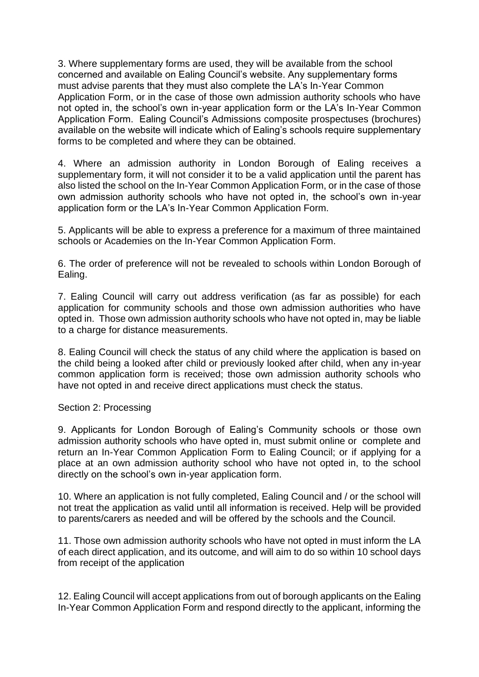3. Where supplementary forms are used, they will be available from the school concerned and available on Ealing Council's website. Any supplementary forms must advise parents that they must also complete the LA's In-Year Common Application Form, or in the case of those own admission authority schools who have not opted in, the school's own in-year application form or the LA's In-Year Common Application Form. Ealing Council's Admissions composite prospectuses (brochures) available on the website will indicate which of Ealing's schools require supplementary forms to be completed and where they can be obtained.

4. Where an admission authority in London Borough of Ealing receives a supplementary form, it will not consider it to be a valid application until the parent has also listed the school on the In-Year Common Application Form, or in the case of those own admission authority schools who have not opted in, the school's own in-year application form or the LA's In-Year Common Application Form.

5. Applicants will be able to express a preference for a maximum of three maintained schools or Academies on the In-Year Common Application Form.

6. The order of preference will not be revealed to schools within London Borough of Ealing.

7. Ealing Council will carry out address verification (as far as possible) for each application for community schools and those own admission authorities who have opted in. Those own admission authority schools who have not opted in, may be liable to a charge for distance measurements.

8. Ealing Council will check the status of any child where the application is based on the child being a looked after child or previously looked after child, when any in-year common application form is received; those own admission authority schools who have not opted in and receive direct applications must check the status.

## Section 2: Processing

9. Applicants for London Borough of Ealing's Community schools or those own admission authority schools who have opted in, must submit online or complete and return an In-Year Common Application Form to Ealing Council; or if applying for a place at an own admission authority school who have not opted in, to the school directly on the school's own in-year application form.

10. Where an application is not fully completed, Ealing Council and / or the school will not treat the application as valid until all information is received. Help will be provided to parents/carers as needed and will be offered by the schools and the Council.

11. Those own admission authority schools who have not opted in must inform the LA of each direct application, and its outcome, and will aim to do so within 10 school days from receipt of the application

12. Ealing Council will accept applications from out of borough applicants on the Ealing In-Year Common Application Form and respond directly to the applicant, informing the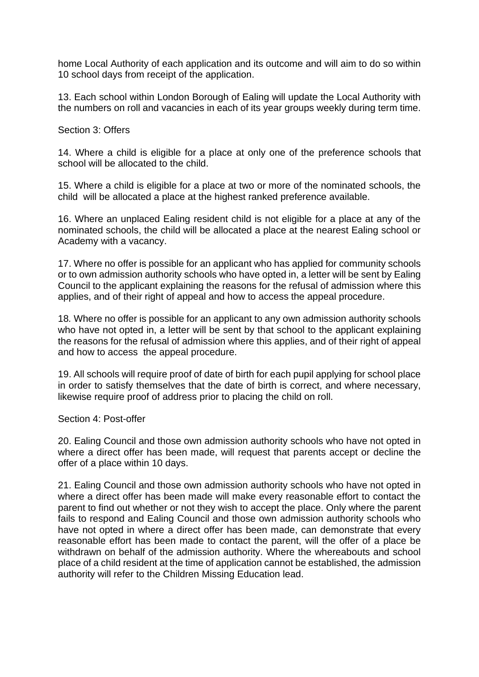home Local Authority of each application and its outcome and will aim to do so within 10 school days from receipt of the application.

13. Each school within London Borough of Ealing will update the Local Authority with the numbers on roll and vacancies in each of its year groups weekly during term time.

Section 3: Offers

14. Where a child is eligible for a place at only one of the preference schools that school will be allocated to the child.

15. Where a child is eligible for a place at two or more of the nominated schools, the child will be allocated a place at the highest ranked preference available.

16. Where an unplaced Ealing resident child is not eligible for a place at any of the nominated schools, the child will be allocated a place at the nearest Ealing school or Academy with a vacancy.

17. Where no offer is possible for an applicant who has applied for community schools or to own admission authority schools who have opted in, a letter will be sent by Ealing Council to the applicant explaining the reasons for the refusal of admission where this applies, and of their right of appeal and how to access the appeal procedure.

18*.* Where no offer is possible for an applicant to any own admission authority schools who have not opted in, a letter will be sent by that school to the applicant explaining the reasons for the refusal of admission where this applies, and of their right of appeal and how to access the appeal procedure.

19. All schools will require proof of date of birth for each pupil applying for school place in order to satisfy themselves that the date of birth is correct, and where necessary, likewise require proof of address prior to placing the child on roll.

Section 4: Post-offer

20. Ealing Council and those own admission authority schools who have not opted in where a direct offer has been made, will request that parents accept or decline the offer of a place within 10 days.

21. Ealing Council and those own admission authority schools who have not opted in where a direct offer has been made will make every reasonable effort to contact the parent to find out whether or not they wish to accept the place. Only where the parent fails to respond and Ealing Council and those own admission authority schools who have not opted in where a direct offer has been made, can demonstrate that every reasonable effort has been made to contact the parent, will the offer of a place be withdrawn on behalf of the admission authority. Where the whereabouts and school place of a child resident at the time of application cannot be established, the admission authority will refer to the Children Missing Education lead.